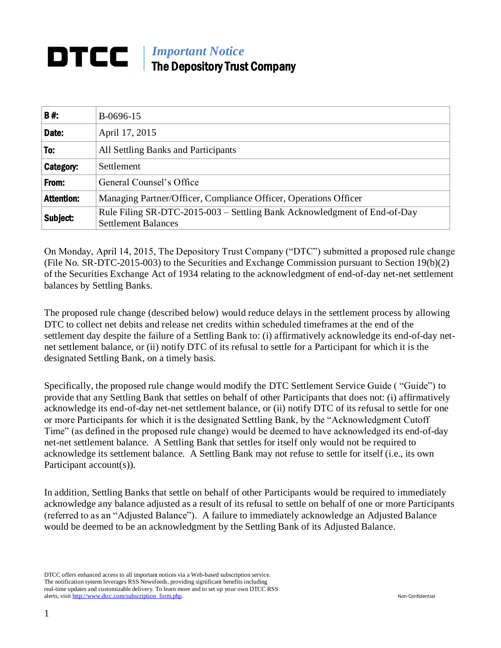## *Important Notice* DTCC The Depository Trust Company

| B#.               | B-0696-15                                                                                              |
|-------------------|--------------------------------------------------------------------------------------------------------|
| Date:             | April 17, 2015                                                                                         |
| To:               | All Settling Banks and Participants                                                                    |
| Category:         | Settlement                                                                                             |
| From:             | General Counsel's Office                                                                               |
| <b>Attention:</b> | Managing Partner/Officer, Compliance Officer, Operations Officer                                       |
| Subject:          | Rule Filing SR-DTC-2015-003 - Settling Bank Acknowledgment of End-of-Day<br><b>Settlement Balances</b> |

On Monday, April 14, 2015, The Depository Trust Company ("DTC") submitted a proposed rule change (File No. SR-DTC-2015-003) to the Securities and Exchange Commission pursuant to Section 19(b)(2) of the Securities Exchange Act of 1934 relating to the acknowledgment of end-of-day net-net settlement balances by Settling Banks.

The proposed rule change (described below) would reduce delays in the settlement process by allowing DTC to collect net debits and release net credits within scheduled timeframes at the end of the settlement day despite the failure of a Settling Bank to: (i) affirmatively acknowledge its end-of-day netnet settlement balance, or (ii) notify DTC of its refusal to settle for a Participant for which it is the designated Settling Bank, on a timely basis.

Specifically, the proposed rule change would modify the DTC Settlement Service Guide ( "Guide") to provide that any Settling Bank that settles on behalf of other Participants that does not: (i) affirmatively acknowledge its end-of-day net-net settlement balance, or (ii) notify DTC of its refusal to settle for one or more Participants for which it is the designated Settling Bank, by the "Acknowledgment Cutoff Time" (as defined in the proposed rule change) would be deemed to have acknowledged its end-of-day net-net settlement balance. A Settling Bank that settles for itself only would not be required to acknowledge its settlement balance. A Settling Bank may not refuse to settle for itself (i.e., its own Participant account(s)).

In addition, Settling Banks that settle on behalf of other Participants would be required to immediately acknowledge any balance adjusted as a result of its refusal to settle on behalf of one or more Participants (referred to as an "Adjusted Balance"). A failure to immediately acknowledge an Adjusted Balance would be deemed to be an acknowledgment by the Settling Bank of its Adjusted Balance.

DTCC offers enhanced access to all important notices via a Web-based subscription service. The notification system leverages RSS Newsfeeds, providing significant benefits including real-time updates and customizable delivery. To learn more and to set up your own DTCC RSS alerts, visit [http://www.dtcc.com/subscription\\_form.php.](http://www.dtcc.com/subscription_form.php) Non-Confidential